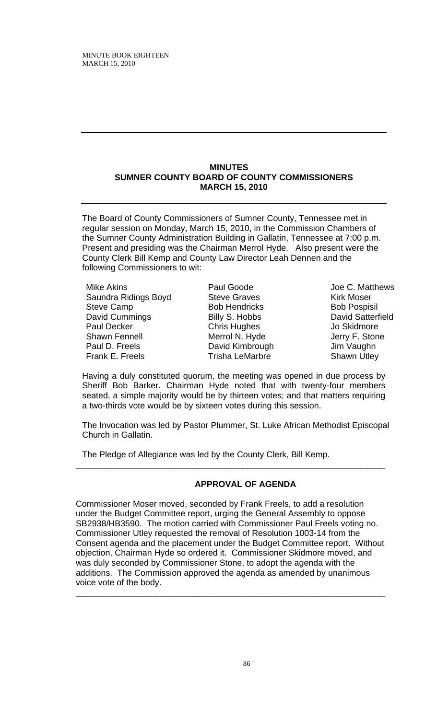#### **MINUTES SUMNER COUNTY BOARD OF COUNTY COMMISSIONERS MARCH 15, 2010**

The Board of County Commissioners of Sumner County, Tennessee met in regular session on Monday, March 15, 2010, in the Commission Chambers of the Sumner County Administration Building in Gallatin, Tennessee at 7:00 p.m. Present and presiding was the Chairman Merrol Hyde. Also present were the County Clerk Bill Kemp and County Law Director Leah Dennen and the following Commissioners to wit:

Mike Akins Saundra Ridings Boyd Steve Camp David Cummings Paul Decker Shawn Fennell Paul D. Freels Frank E. Freels

Paul Goode Steve Graves Bob Hendricks Billy S. Hobbs Chris Hughes Merrol N. Hyde David Kimbrough Trisha LeMarbre

Joe C. Matthews Kirk Moser Bob Pospisil David Satterfield Jo Skidmore Jerry F. Stone Jim Vaughn Shawn Utley

Having a duly constituted quorum, the meeting was opened in due process by Sheriff Bob Barker. Chairman Hyde noted that with twenty-four members seated, a simple majority would be by thirteen votes; and that matters requiring a two-thirds vote would be by sixteen votes during this session.

The Invocation was led by Pastor Plummer, St. Luke African Methodist Episcopal Church in Gallatin.

\_\_\_\_\_\_\_\_\_\_\_\_\_\_\_\_\_\_\_\_\_\_\_\_\_\_\_\_\_\_\_\_\_\_\_\_\_\_\_\_\_\_\_\_\_\_\_\_\_\_\_\_\_\_\_\_\_\_\_\_\_\_\_\_\_

The Pledge of Allegiance was led by the County Clerk, Bill Kemp.

# **APPROVAL OF AGENDA**

Commissioner Moser moved, seconded by Frank Freels, to add a resolution under the Budget Committee report, urging the General Assembly to oppose SB2938/HB3590. The motion carried with Commissioner Paul Freels voting no. Commissioner Utley requested the removal of Resolution 1003-14 from the Consent agenda and the placement under the Budget Committee report. Without objection, Chairman Hyde so ordered it. Commissioner Skidmore moved, and was duly seconded by Commissioner Stone, to adopt the agenda with the additions. The Commission approved the agenda as amended by unanimous voice vote of the body. \_\_\_\_\_\_\_\_\_\_\_\_\_\_\_\_\_\_\_\_\_\_\_\_\_\_\_\_\_\_\_\_\_\_\_\_\_\_\_\_\_\_\_\_\_\_\_\_\_\_\_\_\_\_\_\_\_\_\_\_\_\_\_\_\_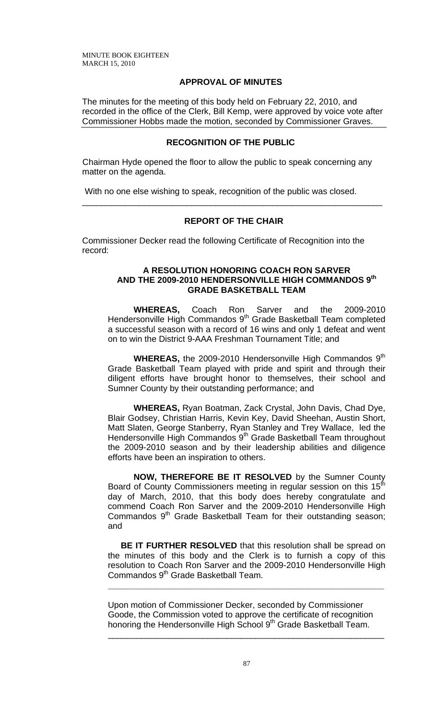# **APPROVAL OF MINUTES**

The minutes for the meeting of this body held on February 22, 2010, and recorded in the office of the Clerk, Bill Kemp, were approved by voice vote after Commissioner Hobbs made the motion, seconded by Commissioner Graves.

## **RECOGNITION OF THE PUBLIC**

Chairman Hyde opened the floor to allow the public to speak concerning any matter on the agenda.

With no one else wishing to speak, recognition of the public was closed.

## **REPORT OF THE CHAIR**

\_\_\_\_\_\_\_\_\_\_\_\_\_\_\_\_\_\_\_\_\_\_\_\_\_\_\_\_\_\_\_\_\_\_\_\_\_\_\_\_\_\_\_\_\_\_\_\_\_\_\_\_\_\_\_\_\_\_\_\_\_\_\_

Commissioner Decker read the following Certificate of Recognition into the record:

#### **A RESOLUTION HONORING COACH RON SARVER AND THE 2009-2010 HENDERSONVILLE HIGH COMMANDOS 9th GRADE BASKETBALL TEAM**

 **WHEREAS,** Coach Ron Sarver and the 2009-2010 Hendersonville High Commandos 9<sup>th</sup> Grade Basketball Team completed a successful season with a record of 16 wins and only 1 defeat and went on to win the District 9-AAA Freshman Tournament Title; and

**WHEREAS, the 2009-2010 Hendersonville High Commandos 9<sup>th</sup>** Grade Basketball Team played with pride and spirit and through their diligent efforts have brought honor to themselves, their school and Sumner County by their outstanding performance; and

**WHEREAS,** Ryan Boatman, Zack Crystal, John Davis, Chad Dye, Blair Godsey, Christian Harris, Kevin Key, David Sheehan, Austin Short, Matt Slaten, George Stanberry, Ryan Stanley and Trey Wallace, led the Hendersonville High Commandos 9<sup>th</sup> Grade Basketball Team throughout the 2009-2010 season and by their leadership abilities and diligence efforts have been an inspiration to others.

**NOW, THEREFORE BE IT RESOLVED** by the Sumner County Board of County Commissioners meeting in regular session on this 15<sup>th</sup> day of March, 2010, that this body does hereby congratulate and commend Coach Ron Sarver and the 2009-2010 Hendersonville High Commandos 9<sup>th</sup> Grade Basketball Team for their outstanding season; and

**BE IT FURTHER RESOLVED** that this resolution shall be spread on the minutes of this body and the Clerk is to furnish a copy of this resolution to Coach Ron Sarver and the 2009-2010 Hendersonville High Commandos 9<sup>th</sup> Grade Basketball Team.

**\_\_\_\_\_\_\_\_\_\_\_\_\_\_\_\_\_\_\_\_\_\_\_\_\_\_\_\_\_\_\_\_\_\_\_\_\_\_\_\_\_\_\_\_\_\_\_\_\_\_\_\_\_\_\_\_\_\_**

Upon motion of Commissioner Decker, seconded by Commissioner Goode, the Commission voted to approve the certificate of recognition honoring the Hendersonville High School 9<sup>th</sup> Grade Basketball Team.

\_\_\_\_\_\_\_\_\_\_\_\_\_\_\_\_\_\_\_\_\_\_\_\_\_\_\_\_\_\_\_\_\_\_\_\_\_\_\_\_\_\_\_\_\_\_\_\_\_\_\_\_\_\_\_\_\_\_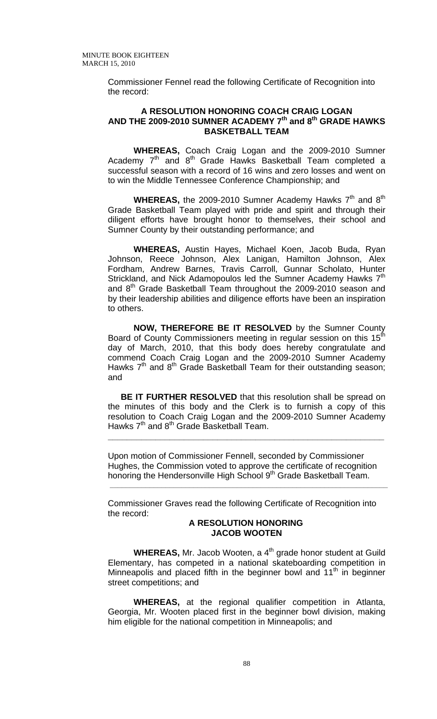Commissioner Fennel read the following Certificate of Recognition into the record:

#### **A RESOLUTION HONORING COACH CRAIG LOGAN AND THE 2009-2010 SUMNER ACADEMY 7th and 8th GRADE HAWKS BASKETBALL TEAM**

 **WHEREAS,** Coach Craig Logan and the 2009-2010 Sumner Academy  $7<sup>th</sup>$  and  $8<sup>th</sup>$  Grade Hawks Basketball Team completed a successful season with a record of 16 wins and zero losses and went on to win the Middle Tennessee Conference Championship; and

**WHEREAS,** the 2009-2010 Sumner Academy Hawks 7<sup>th</sup> and 8<sup>th</sup> Grade Basketball Team played with pride and spirit and through their diligent efforts have brought honor to themselves, their school and Sumner County by their outstanding performance; and

**WHEREAS,** Austin Hayes, Michael Koen, Jacob Buda, Ryan Johnson, Reece Johnson, Alex Lanigan, Hamilton Johnson, Alex Fordham, Andrew Barnes, Travis Carroll, Gunnar Scholato, Hunter Strickland, and Nick Adamopoulos led the Sumner Academy Hawks 7<sup>th</sup> and 8<sup>th</sup> Grade Basketball Team throughout the 2009-2010 season and by their leadership abilities and diligence efforts have been an inspiration to others.

**NOW, THEREFORE BE IT RESOLVED** by the Sumner County Board of County Commissioners meeting in regular session on this 15<sup>th</sup> day of March, 2010, that this body does hereby congratulate and commend Coach Craig Logan and the 2009-2010 Sumner Academy Hawks  $7<sup>th</sup>$  and  $8<sup>th</sup>$  Grade Basketball Team for their outstanding season; and

**BE IT FURTHER RESOLVED** that this resolution shall be spread on the minutes of this body and the Clerk is to furnish a copy of this resolution to Coach Craig Logan and the 2009-2010 Sumner Academy Hawks 7<sup>th</sup> and 8<sup>th</sup> Grade Basketball Team.

**\_\_\_\_\_\_\_\_\_\_\_\_\_\_\_\_\_\_\_\_\_\_\_\_\_\_\_\_\_\_\_\_\_\_\_\_\_\_\_\_\_\_\_\_\_\_\_\_\_\_\_\_\_\_\_\_\_\_**

Upon motion of Commissioner Fennell, seconded by Commissioner Hughes, the Commission voted to approve the certificate of recognition honoring the Hendersonville High School 9<sup>th</sup> Grade Basketball Team.

 **\_\_\_\_\_\_\_\_\_\_\_\_\_\_\_\_\_\_\_\_\_\_\_\_\_\_\_\_\_\_\_\_\_\_\_\_\_\_\_\_\_\_\_\_\_\_\_\_\_\_\_\_\_\_\_\_\_\_\_\_\_\_\_\_\_\_\_\_\_\_**

Commissioner Graves read the following Certificate of Recognition into the record:

#### **A RESOLUTION HONORING JACOB WOOTEN**

**WHEREAS, Mr. Jacob Wooten, a 4<sup>th</sup> grade honor student at Guild** Elementary, has competed in a national skateboarding competition in Minneapolis and placed fifth in the beginner bowl and  $11<sup>th</sup>$  in beginner street competitions; and

**WHEREAS,** at the regional qualifier competition in Atlanta, Georgia, Mr. Wooten placed first in the beginner bowl division, making him eligible for the national competition in Minneapolis; and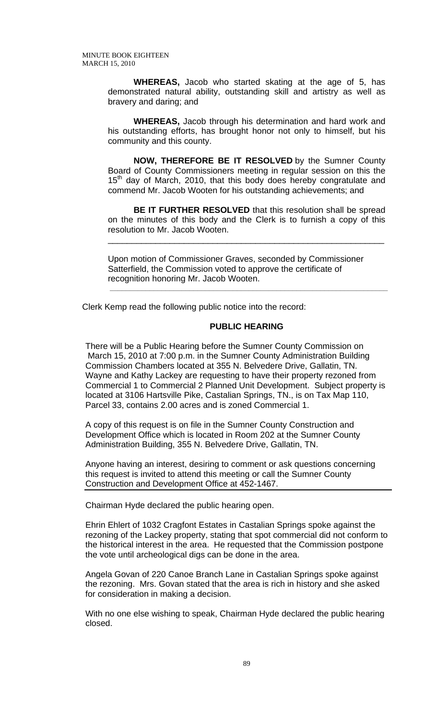**WHEREAS,** Jacob who started skating at the age of 5, has demonstrated natural ability, outstanding skill and artistry as well as bravery and daring; and

**WHEREAS,** Jacob through his determination and hard work and his outstanding efforts, has brought honor not only to himself, but his community and this county.

**NOW, THEREFORE BE IT RESOLVED** by the Sumner County Board of County Commissioners meeting in regular session on this the  $15<sup>th</sup>$  day of March, 2010, that this body does hereby congratulate and commend Mr. Jacob Wooten for his outstanding achievements; and

**BE IT FURTHER RESOLVED** that this resolution shall be spread on the minutes of this body and the Clerk is to furnish a copy of this resolution to Mr. Jacob Wooten.

\_\_\_\_\_\_\_\_\_\_\_\_\_\_\_\_\_\_\_\_\_\_\_\_\_\_\_\_\_\_\_\_\_\_\_\_\_\_\_\_\_\_\_\_\_\_\_\_\_\_\_\_\_\_\_\_\_\_

Upon motion of Commissioner Graves, seconded by Commissioner Satterfield, the Commission voted to approve the certificate of recognition honoring Mr. Jacob Wooten.

Clerk Kemp read the following public notice into the record:

### **PUBLIC HEARING**

**\_\_\_\_\_\_\_\_\_\_\_\_\_\_\_\_\_\_\_\_\_\_\_\_\_\_\_\_\_\_\_\_\_\_\_\_\_\_\_\_\_\_\_\_\_\_\_\_\_\_\_\_\_\_\_\_\_\_\_\_\_\_\_\_\_\_\_\_\_\_** 

There will be a Public Hearing before the Sumner County Commission on March 15, 2010 at 7:00 p.m. in the Sumner County Administration Building Commission Chambers located at 355 N. Belvedere Drive, Gallatin, TN. Wayne and Kathy Lackey are requesting to have their property rezoned from Commercial 1 to Commercial 2 Planned Unit Development. Subject property is located at 3106 Hartsville Pike, Castalian Springs, TN., is on Tax Map 110, Parcel 33, contains 2.00 acres and is zoned Commercial 1.

A copy of this request is on file in the Sumner County Construction and Development Office which is located in Room 202 at the Sumner County Administration Building, 355 N. Belvedere Drive, Gallatin, TN.

Anyone having an interest, desiring to comment or ask questions concerning this request is invited to attend this meeting or call the Sumner County Construction and Development Office at 452-1467.

Chairman Hyde declared the public hearing open.

Ehrin Ehlert of 1032 Cragfont Estates in Castalian Springs spoke against the rezoning of the Lackey property, stating that spot commercial did not conform to the historical interest in the area. He requested that the Commission postpone the vote until archeological digs can be done in the area.

Angela Govan of 220 Canoe Branch Lane in Castalian Springs spoke against the rezoning. Mrs. Govan stated that the area is rich in history and she asked for consideration in making a decision.

With no one else wishing to speak, Chairman Hyde declared the public hearing closed.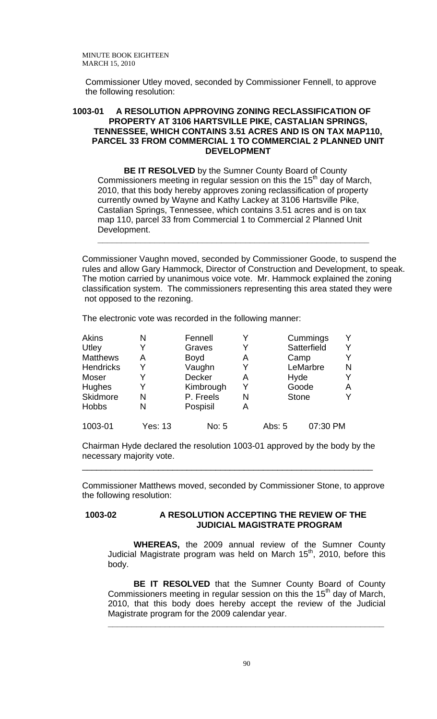Commissioner Utley moved, seconded by Commissioner Fennell, to approve the following resolution:

### **1003-01 A RESOLUTION APPROVING ZONING RECLASSIFICATION OF PROPERTY AT 3106 HARTSVILLE PIKE, CASTALIAN SPRINGS, TENNESSEE, WHICH CONTAINS 3.51 ACRES AND IS ON TAX MAP110, PARCEL 33 FROM COMMERCIAL 1 TO COMMERCIAL 2 PLANNED UNIT DEVELOPMENT**

**BE IT RESOLVED** by the Sumner County Board of County Commissioners meeting in regular session on this the  $15<sup>th</sup>$  day of March, 2010, that this body hereby approves zoning reclassification of property currently owned by Wayne and Kathy Lackey at 3106 Hartsville Pike, Castalian Springs, Tennessee, which contains 3.51 acres and is on tax map 110, parcel 33 from Commercial 1 to Commercial 2 Planned Unit Development.

**\_\_\_\_\_\_\_\_\_\_\_\_\_\_\_\_\_\_\_\_\_\_\_\_\_\_\_\_\_\_\_\_\_\_\_\_\_\_\_\_\_\_\_\_\_\_\_\_\_\_\_\_\_\_\_\_\_**

Commissioner Vaughn moved, seconded by Commissioner Goode, to suspend the rules and allow Gary Hammock, Director of Construction and Development, to speak. The motion carried by unanimous voice vote. Mr. Hammock explained the zoning classification system. The commissioners representing this area stated they were not opposed to the rezoning.

The electronic vote was recorded in the following manner:

| <b>Akins</b>     | N       | Fennell       |   |        | Cummings     |   |
|------------------|---------|---------------|---|--------|--------------|---|
| Utley            | Y       | Graves        |   |        | Satterfield  |   |
| <b>Matthews</b>  | А       | <b>Boyd</b>   | A |        | Camp         |   |
| <b>Hendricks</b> | Y       | Vaughn        |   |        | LeMarbre     | N |
| Moser            |         | <b>Decker</b> | A |        | Hyde         |   |
| <b>Hughes</b>    | Y       | Kimbrough     |   |        | Goode        | A |
| Skidmore         | N       | P. Freels     | N |        | <b>Stone</b> |   |
| <b>Hobbs</b>     | Ν       | Pospisil      | A |        |              |   |
| 1003-01          | Yes: 13 | No: 5         |   | Abs: 5 | 07:30 PM     |   |

Chairman Hyde declared the resolution 1003-01 approved by the body by the necessary majority vote.

\_\_\_\_\_\_\_\_\_\_\_\_\_\_\_\_\_\_\_\_\_\_\_\_\_\_\_\_\_\_\_\_\_\_\_\_\_\_\_\_\_\_\_\_\_\_\_\_\_\_\_\_\_\_\_\_\_\_\_\_\_

Commissioner Matthews moved, seconded by Commissioner Stone, to approve the following resolution:

#### **1003-02 A RESOLUTION ACCEPTING THE REVIEW OF THE JUDICIAL MAGISTRATE PROGRAM**

**WHEREAS,** the 2009 annual review of the Sumner County Judicial Magistrate program was held on March  $15<sup>th</sup>$ , 2010, before this body.

**BE IT RESOLVED** that the Sumner County Board of County Commissioners meeting in regular session on this the 15<sup>th</sup> day of March, 2010, that this body does hereby accept the review of the Judicial Magistrate program for the 2009 calendar year.

**\_\_\_\_\_\_\_\_\_\_\_\_\_\_\_\_\_\_\_\_\_\_\_\_\_\_\_\_\_\_\_\_\_\_\_\_\_\_\_\_\_\_\_\_\_\_\_\_\_\_\_\_\_\_\_\_\_\_**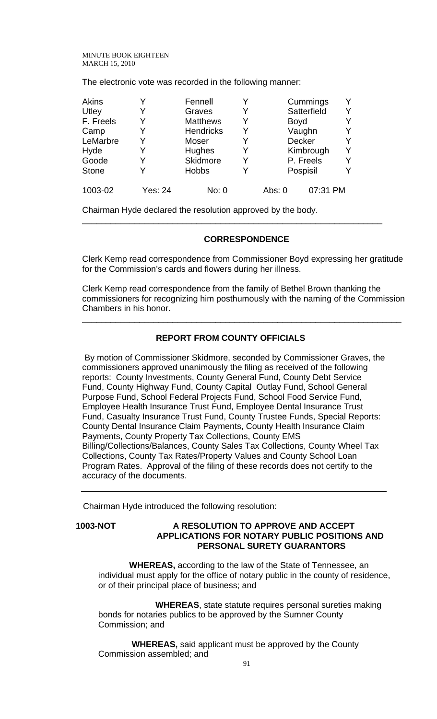The electronic vote was recorded in the following manner:

| <b>Akins</b> |         | Fennell          |   | Cummings    |           |  |
|--------------|---------|------------------|---|-------------|-----------|--|
| Utley        | Y       | Graves           |   | Satterfield |           |  |
| F. Freels    | Y       | <b>Matthews</b>  | Y | <b>Boyd</b> |           |  |
| Camp         | Y       | <b>Hendricks</b> | Y | Vaughn      |           |  |
| LeMarbre     | Y       | Moser            |   | Decker      |           |  |
| Hyde         | Y       | <b>Hughes</b>    | Y | Kimbrough   |           |  |
| Goode        | Y       | <b>Skidmore</b>  | Y |             | P. Freels |  |
| <b>Stone</b> | Y       | <b>Hobbs</b>     |   | Pospisil    |           |  |
| 1003-02      | Yes: 24 | No: 0            |   | Abs: $0$    | 07:31 PM  |  |

Chairman Hyde declared the resolution approved by the body.

### **CORRESPONDENCE**

\_\_\_\_\_\_\_\_\_\_\_\_\_\_\_\_\_\_\_\_\_\_\_\_\_\_\_\_\_\_\_\_\_\_\_\_\_\_\_\_\_\_\_\_\_\_\_\_\_\_\_\_\_\_\_\_\_\_\_\_\_\_\_

Clerk Kemp read correspondence from Commissioner Boyd expressing her gratitude for the Commission's cards and flowers during her illness.

Clerk Kemp read correspondence from the family of Bethel Brown thanking the commissioners for recognizing him posthumously with the naming of the Commission Chambers in his honor.

\_\_\_\_\_\_\_\_\_\_\_\_\_\_\_\_\_\_\_\_\_\_\_\_\_\_\_\_\_\_\_\_\_\_\_\_\_\_\_\_\_\_\_\_\_\_\_\_\_\_\_\_\_\_\_\_\_\_\_\_\_\_\_\_\_\_\_

# **REPORT FROM COUNTY OFFICIALS**

 By motion of Commissioner Skidmore, seconded by Commissioner Graves, the commissioners approved unanimously the filing as received of the following reports: County Investments, County General Fund, County Debt Service Fund, County Highway Fund, County Capital Outlay Fund, School General Purpose Fund, School Federal Projects Fund, School Food Service Fund, Employee Health Insurance Trust Fund, Employee Dental Insurance Trust Fund, Casualty Insurance Trust Fund, County Trustee Funds, Special Reports: County Dental Insurance Claim Payments, County Health Insurance Claim Payments, County Property Tax Collections, County EMS Billing/Collections/Balances, County Sales Tax Collections, County Wheel Tax Collections, County Tax Rates/Property Values and County School Loan Program Rates. Approval of the filing of these records does not certify to the accuracy of the documents.

Chairman Hyde introduced the following resolution:

### **1003-NOT A RESOLUTION TO APPROVE AND ACCEPT APPLICATIONS FOR NOTARY PUBLIC POSITIONS AND PERSONAL SURETY GUARANTORS**

 **WHEREAS,** according to the law of the State of Tennessee, an individual must apply for the office of notary public in the county of residence, or of their principal place of business; and

 **WHEREAS**, state statute requires personal sureties making bonds for notaries publics to be approved by the Sumner County Commission; and

 **WHEREAS,** said applicant must be approved by the County Commission assembled; and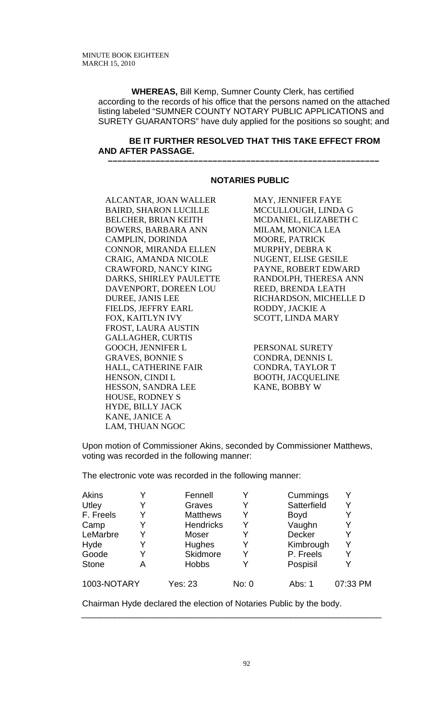**WHEREAS,** Bill Kemp, Sumner County Clerk, has certified according to the records of his office that the persons named on the attached listing labeled "SUMNER COUNTY NOTARY PUBLIC APPLICATIONS and SURETY GUARANTORS" have duly applied for the positions so sought; and

### **BE IT FURTHER RESOLVED THAT THIS TAKE EFFECT FROM AND AFTER PASSAGE.**

 **–––––––––––––––––––––––––––––––––––––––––––––––––––––––––**

### **NOTARIES PUBLIC**

ALCANTAR, JOAN WALLER BAIRD, SHARON LUCILLE BELCHER, BRIAN KEITH BOWERS, BARBARA ANN CAMPLIN, DORINDA CONNOR, MIRANDA ELLEN CRAIG, AMANDA NICOLE CRAWFORD, NANCY KING DARKS, SHIRLEY PAULETTE DAVENPORT, DOREEN LOU DUREE, JANIS LEE FIELDS, JEFFRY EARL FOX, KAITLYN IVY FROST, LAURA AUSTIN GALLAGHER, CURTIS GOOCH, JENNIFER L GRAVES, BONNIE S HALL, CATHERINE FAIR HENSON, CINDI L HESSON, SANDRA LEE HOUSE, RODNEY S HYDE, BILLY JACK KANE, JANICE A LAM, THUAN NGOC

MAY, JENNIFER FAYE MCCULLOUGH, LINDA G MCDANIEL, ELIZABETH C MILAM, MONICA LEA MOORE, PATRICK MURPHY, DEBRA K NUGENT, ELISE GESILE PAYNE, ROBERT EDWARD RANDOLPH, THERESA ANN REED, BRENDA LEATH RICHARDSON, MICHELLE D RODDY, JACKIE A SCOTT, LINDA MARY

PERSONAL SURETY CONDRA, DENNIS L CONDRA, TAYLOR T BOOTH, JACQUELINE KANE, BOBBY W

Upon motion of Commissioner Akins, seconded by Commissioner Matthews, voting was recorded in the following manner:

The electronic vote was recorded in the following manner:

| Akins        |   | Fennell          | Y     | Cummings      | Y        |
|--------------|---|------------------|-------|---------------|----------|
| Utley        |   | Graves           | Y     | Satterfield   | Y        |
| F. Freels    | Y | <b>Matthews</b>  | Y     | <b>Boyd</b>   | Y        |
| Camp         |   | <b>Hendricks</b> | Y     | Vaughn        | Y        |
| LeMarbre     |   | Moser            | Y     | <b>Decker</b> | Y        |
| Hyde         | Y | <b>Hughes</b>    | Y     | Kimbrough     | Y        |
| Goode        |   | Skidmore         | Y     | P. Freels     | Y        |
| <b>Stone</b> | A | <b>Hobbs</b>     | Y     | Pospisil      | Y        |
| 1003-NOTARY  |   | <b>Yes: 23</b>   | No: 0 | Abs: 1        | 07:33 PM |

\_\_\_\_\_\_\_\_\_\_\_\_\_\_\_\_\_\_\_\_\_\_\_\_\_\_\_\_\_\_\_\_\_\_\_\_\_\_\_\_\_\_\_\_\_\_\_\_\_\_\_\_\_\_\_\_\_\_\_\_\_\_\_

Chairman Hyde declared the election of Notaries Public by the body.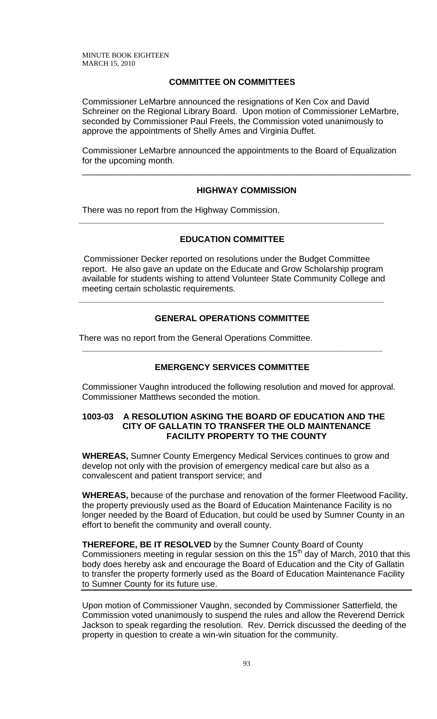# **COMMITTEE ON COMMITTEES**

Commissioner LeMarbre announced the resignations of Ken Cox and David Schreiner on the Regional Library Board. Upon motion of Commissioner LeMarbre, seconded by Commissioner Paul Freels, the Commission voted unanimously to approve the appointments of Shelly Ames and Virginia Duffet.

Commissioner LeMarbre announced the appointments to the Board of Equalization for the upcoming month.

### **HIGHWAY COMMISSION**

\_\_\_\_\_\_\_\_\_\_\_\_\_\_\_\_\_\_\_\_\_\_\_\_\_\_\_\_\_\_\_\_\_\_\_\_\_\_\_\_\_\_\_\_\_\_\_\_\_\_\_\_\_\_\_\_\_\_\_\_\_\_\_\_\_\_\_\_\_

There was no report from the Highway Commission.

### **EDUCATION COMMITTEE**

**\_\_\_\_\_\_\_\_\_\_\_\_\_\_\_\_\_\_\_\_\_\_\_\_\_\_\_\_\_\_\_\_\_\_\_\_\_\_\_\_\_\_\_\_\_\_\_\_\_\_\_\_\_\_\_\_\_\_\_\_\_\_\_\_** 

 Commissioner Decker reported on resolutions under the Budget Committee report. He also gave an update on the Educate and Grow Scholarship program available for students wishing to attend Volunteer State Community College and meeting certain scholastic requirements.

### **GENERAL OPERATIONS COMMITTEE**

**\_\_\_\_\_\_\_\_\_\_\_\_\_\_\_\_\_\_\_\_\_\_\_\_\_\_\_\_\_\_\_\_\_\_\_\_\_\_\_\_\_\_\_\_\_\_\_\_\_\_\_\_\_\_\_\_\_\_\_\_\_\_\_\_** 

There was no report from the General Operations Committee.

### **EMERGENCY SERVICES COMMITTEE**

**\_\_\_\_\_\_\_\_\_\_\_\_\_\_\_\_\_\_\_\_\_\_\_\_\_\_\_\_\_\_\_\_\_\_\_\_\_\_\_\_\_\_\_\_\_\_\_\_\_\_\_\_\_\_\_\_\_\_\_\_\_\_\_** 

Commissioner Vaughn introduced the following resolution and moved for approval. Commissioner Matthews seconded the motion.

### **1003-03 A RESOLUTION ASKING THE BOARD OF EDUCATION AND THE CITY OF GALLATIN TO TRANSFER THE OLD MAINTENANCE FACILITY PROPERTY TO THE COUNTY**

**WHEREAS,** Sumner County Emergency Medical Services continues to grow and develop not only with the provision of emergency medical care but also as a convalescent and patient transport service; and

**WHEREAS,** because of the purchase and renovation of the former Fleetwood Facility, the property previously used as the Board of Education Maintenance Facility is no longer needed by the Board of Education, but could be used by Sumner County in an effort to benefit the community and overall county.

**THEREFORE, BE IT RESOLVED** by the Sumner County Board of County Commissioners meeting in regular session on this the  $15<sup>th</sup>$  day of March, 2010 that this body does hereby ask and encourage the Board of Education and the City of Gallatin to transfer the property formerly used as the Board of Education Maintenance Facility to Sumner County for its future use.

Upon motion of Commissioner Vaughn, seconded by Commissioner Satterfield, the Commission voted unanimously to suspend the rules and allow the Reverend Derrick Jackson to speak regarding the resolution. Rev. Derrick discussed the deeding of the property in question to create a win-win situation for the community.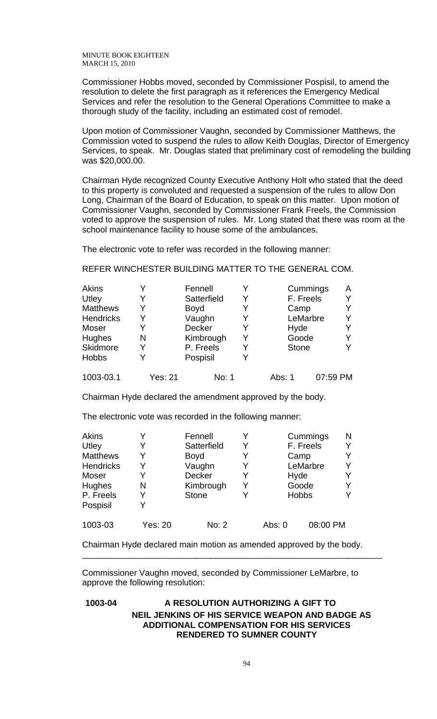Commissioner Hobbs moved, seconded by Commissioner Pospisil, to amend the resolution to delete the first paragraph as it references the Emergency Medical Services and refer the resolution to the General Operations Committee to make a thorough study of the facility, including an estimated cost of remodel.

Upon motion of Commissioner Vaughn, seconded by Commissioner Matthews, the Commission voted to suspend the rules to allow Keith Douglas, Director of Emergency Services, to speak. Mr. Douglas stated that preliminary cost of remodeling the building was \$20,000.00.

Chairman Hyde recognized County Executive Anthony Holt who stated that the deed to this property is convoluted and requested a suspension of the rules to allow Don Long, Chairman of the Board of Education, to speak on this matter. Upon motion of Commissioner Vaughn, seconded by Commissioner Frank Freels, the Commission voted to approve the suspension of rules. Mr. Long stated that there was room at the school maintenance facility to house some of the ambulances.

The electronic vote to refer was recorded in the following manner:

REFER WINCHESTER BUILDING MATTER TO THE GENERAL COM.

| Akins            |   | Fennell     |   | Cummings     | A |
|------------------|---|-------------|---|--------------|---|
| Utley            | Y | Satterfield | Y | F. Freels    |   |
| <b>Matthews</b>  | Y | Boyd        | Y | Camp         | v |
| <b>Hendricks</b> | Y | Vaughn      |   | LeMarbre     | ν |
| Moser            |   | Decker      |   | Hyde         |   |
| Hughes           | N | Kimbrough   | Y | Goode        | v |
| Skidmore         | Y | P. Freels   | Y | <b>Stone</b> | v |
| <b>Hobbs</b>     | v | Pospisil    |   |              |   |
|                  |   |             |   |              |   |

1003-03.1 Yes: 21 No: 1 Abs: 1 07:59 PM

Chairman Hyde declared the amendment approved by the body.

The electronic vote was recorded in the following manner:

| <b>Akins</b>     | v       | Fennell      |   |        | Cummings     | N |
|------------------|---------|--------------|---|--------|--------------|---|
| Utley            |         | Satterfield  |   |        | F. Freels    |   |
| <b>Matthews</b>  | Y       | Boyd         |   |        | Camp         |   |
| <b>Hendricks</b> | Y       | Vaughn       | Y |        | LeMarbre     |   |
| Moser            |         | Decker       |   |        | Hyde         |   |
| <b>Hughes</b>    | N       | Kimbrough    | Y |        | Goode        |   |
| P. Freels        | Y       | <b>Stone</b> |   |        | <b>Hobbs</b> |   |
| Pospisil         |         |              |   |        |              |   |
| 1003-03          | Yes: 20 | No: 2        |   | Abs: 0 | 08:00 PM     |   |

Chairman Hyde declared main motion as amended approved by the body.

\_\_\_\_\_\_\_\_\_\_\_\_\_\_\_\_\_\_\_\_\_\_\_\_\_\_\_\_\_\_\_\_\_\_\_\_\_\_\_\_\_\_\_\_\_\_\_\_\_\_\_\_\_\_\_\_\_\_\_\_\_\_\_

Commissioner Vaughn moved, seconded by Commissioner LeMarbre, to approve the following resolution:

# **1003-04 A RESOLUTION AUTHORIZING A GIFT TO NEIL JENKINS OF HIS SERVICE WEAPON AND BADGE AS ADDITIONAL COMPENSATION FOR HIS SERVICES RENDERED TO SUMNER COUNTY**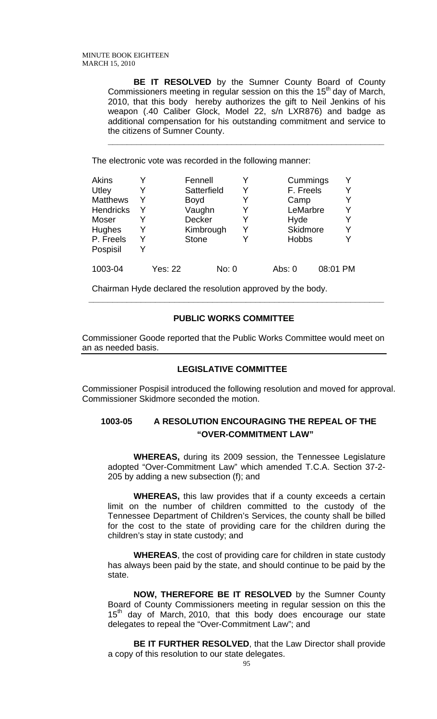**BE IT RESOLVED** by the Sumner County Board of County Commissioners meeting in regular session on this the 15<sup>th</sup> day of March, 2010, that this body hereby authorizes the gift to Neil Jenkins of his weapon (.40 Caliber Glock, Model 22, s/n LXR876) and badge as additional compensation for his outstanding commitment and service to the citizens of Sumner County.

**\_\_\_\_\_\_\_\_\_\_\_\_\_\_\_\_\_\_\_\_\_\_\_\_\_\_\_\_\_\_\_\_\_\_\_\_\_\_\_\_\_\_\_\_\_\_\_\_\_\_\_\_\_\_\_\_\_\_**

The electronic vote was recorded in the following manner:

| <b>Akins</b>     |   |                | Fennell      |       |   | Cummings             | Y |
|------------------|---|----------------|--------------|-------|---|----------------------|---|
| Utley            | Y |                | Satterfield  |       |   | F. Freels            | Y |
| <b>Matthews</b>  | Y |                | <b>Boyd</b>  |       |   | Camp                 | Y |
| <b>Hendricks</b> | Y |                | Vaughn       |       |   | LeMarbre             | Y |
| Moser            | Y |                | Decker       |       |   | Hyde                 | Y |
| <b>Hughes</b>    | Y |                | Kimbrough    |       | Y | Skidmore             | Y |
| P. Freels        | Y |                | <b>Stone</b> |       |   | <b>Hobbs</b>         | Y |
| Pospisil         | Y |                |              |       |   |                      |   |
| 1003-04          |   | <b>Yes: 22</b> |              | No: 0 |   | 08:01 PM<br>Abs: $0$ |   |

Chairman Hyde declared the resolution approved by the body.

## **PUBLIC WORKS COMMITTEE**

**\_\_\_\_\_\_\_\_\_\_\_\_\_\_\_\_\_\_\_\_\_\_\_\_\_\_\_\_\_\_\_\_\_\_\_\_\_\_\_\_\_\_\_\_\_\_\_\_\_\_\_\_\_\_\_\_\_\_\_\_\_\_** 

Commissioner Goode reported that the Public Works Committee would meet on an as needed basis.

# **LEGISLATIVE COMMITTEE**

Commissioner Pospisil introduced the following resolution and moved for approval. Commissioner Skidmore seconded the motion.

# **1003-05 A RESOLUTION ENCOURAGING THE REPEAL OF THE "OVER-COMMITMENT LAW"**

 **WHEREAS,** during its 2009 session, the Tennessee Legislature adopted "Over-Commitment Law" which amended T.C.A. Section 37-2- 205 by adding a new subsection (f); and

**WHEREAS,** this law provides that if a county exceeds a certain limit on the number of children committed to the custody of the Tennessee Department of Children's Services, the county shall be billed for the cost to the state of providing care for the children during the children's stay in state custody; and

**WHEREAS**, the cost of providing care for children in state custody has always been paid by the state, and should continue to be paid by the state.

**NOW, THEREFORE BE IT RESOLVED** by the Sumner County Board of County Commissioners meeting in regular session on this the  $15<sup>th</sup>$  day of March, 2010, that this body does encourage our state delegates to repeal the "Over-Commitment Law"; and

 **BE IT FURTHER RESOLVED**, that the Law Director shall provide a copy of this resolution to our state delegates.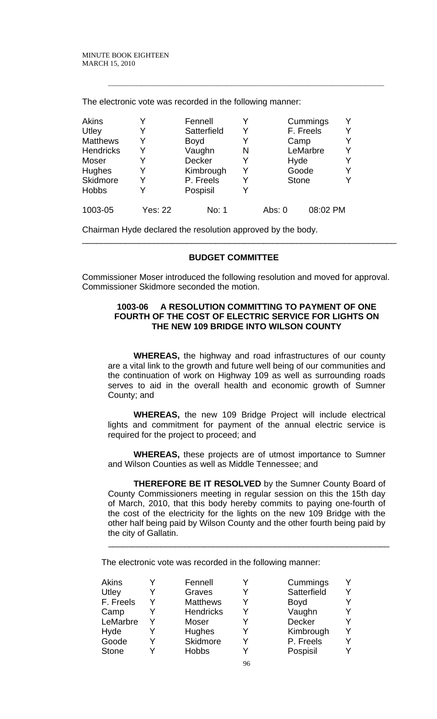The electronic vote was recorded in the following manner:

| <b>Akins</b>     |                | Fennell       |   |        | Cummings     | v |
|------------------|----------------|---------------|---|--------|--------------|---|
| Utley            | Y              | Satterfield   | Y |        | F. Freels    | v |
| <b>Matthews</b>  | Y              | <b>Boyd</b>   |   |        | Camp         | v |
| <b>Hendricks</b> | Y              | Vaughn        | N |        | LeMarbre     | v |
| Moser            | Y              | <b>Decker</b> |   |        | Hyde         | v |
| Hughes           | Y              | Kimbrough     | Y |        | Goode        | Y |
| Skidmore         | Y              | P. Freels     |   |        | <b>Stone</b> | v |
| <b>Hobbs</b>     | Y              | Pospisil      |   |        |              |   |
| 1003-05          | <b>Yes: 22</b> | No: 1         |   | Abs: 0 | 08:02 PM     |   |

**\_\_\_\_\_\_\_\_\_\_\_\_\_\_\_\_\_\_\_\_\_\_\_\_\_\_\_\_\_\_\_\_\_\_\_\_\_\_\_\_\_\_\_\_\_\_\_\_\_\_\_\_\_\_\_\_\_\_**

Chairman Hyde declared the resolution approved by the body.

### **BUDGET COMMITTEE**

\_\_\_\_\_\_\_\_\_\_\_\_\_\_\_\_\_\_\_\_\_\_\_\_\_\_\_\_\_\_\_\_\_\_\_\_\_\_\_\_\_\_\_\_\_\_\_\_\_\_\_\_\_\_\_\_\_\_\_\_\_\_\_\_\_\_

Commissioner Moser introduced the following resolution and moved for approval. Commissioner Skidmore seconded the motion.

### **1003-06 A RESOLUTION COMMITTING TO PAYMENT OF ONE FOURTH OF THE COST OF ELECTRIC SERVICE FOR LIGHTS ON THE NEW 109 BRIDGE INTO WILSON COUNTY**

**WHEREAS,** the highway and road infrastructures of our county are a vital link to the growth and future well being of our communities and the continuation of work on Highway 109 as well as surrounding roads serves to aid in the overall health and economic growth of Sumner County; and

**WHEREAS,** the new 109 Bridge Project will include electrical lights and commitment for payment of the annual electric service is required for the project to proceed; and

**WHEREAS,** these projects are of utmost importance to Sumner and Wilson Counties as well as Middle Tennessee; and

**THEREFORE BE IT RESOLVED** by the Sumner County Board of County Commissioners meeting in regular session on this the 15th day of March, 2010, that this body hereby commits to paying one-fourth of the cost of the electricity for the lights on the new 109 Bridge with the other half being paid by Wilson County and the other fourth being paid by the city of Gallatin.

 $\overline{\phantom{a}}$  , and the contract of the contract of the contract of the contract of the contract of the contract of the contract of the contract of the contract of the contract of the contract of the contract of the contrac

The electronic vote was recorded in the following manner:

| Akins        | Fennell          |    | Cummings    |  |
|--------------|------------------|----|-------------|--|
| Utley        | Graves           |    | Satterfield |  |
| F. Freels    | <b>Matthews</b>  |    | <b>Boyd</b> |  |
| Camp         | <b>Hendricks</b> |    | Vaughn      |  |
| LeMarbre     | Moser            |    | Decker      |  |
| Hyde         | <b>Hughes</b>    |    | Kimbrough   |  |
| Goode        | Skidmore         |    | P. Freels   |  |
| <b>Stone</b> | <b>Hobbs</b>     |    | Pospisil    |  |
|              |                  | 96 |             |  |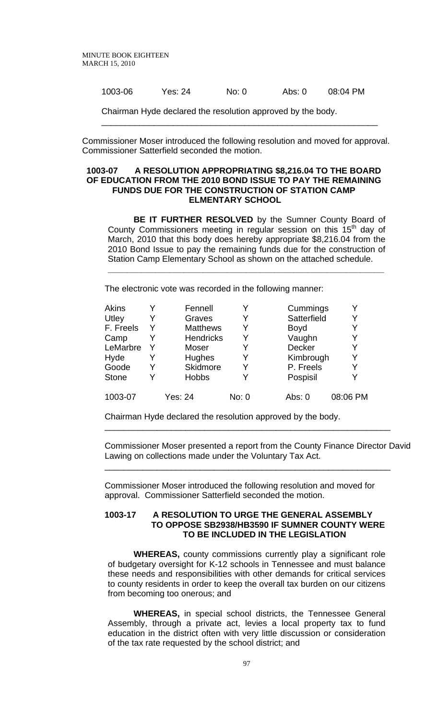1003-06 Yes: 24 No: 0 Abs: 0 08:04 PM

Chairman Hyde declared the resolution approved by the body.

Commissioner Moser introduced the following resolution and moved for approval. Commissioner Satterfield seconded the motion.

\_\_\_\_\_\_\_\_\_\_\_\_\_\_\_\_\_\_\_\_\_\_\_\_\_\_\_\_\_\_\_\_\_\_\_\_\_\_\_\_\_\_\_\_\_\_\_\_\_\_\_\_\_\_\_\_\_\_

#### **1003-07 A RESOLUTION APPROPRIATING \$8,216.04 TO THE BOARD OF EDUCATION FROM THE 2010 BOND ISSUE TO PAY THE REMAINING FUNDS DUE FOR THE CONSTRUCTION OF STATION CAMP ELMENTARY SCHOOL**

**BE IT FURTHER RESOLVED** by the Sumner County Board of County Commissioners meeting in regular session on this 15<sup>th</sup> day of March, 2010 that this body does hereby appropriate \$8,216.04 from the 2010 Bond Issue to pay the remaining funds due for the construction of Station Camp Elementary School as shown on the attached schedule.

**\_\_\_\_\_\_\_\_\_\_\_\_\_\_\_\_\_\_\_\_\_\_\_\_\_\_\_\_\_\_\_\_\_\_\_\_\_\_\_\_\_\_\_\_\_\_\_\_\_\_\_\_\_\_\_\_\_\_**

The electronic vote was recorded in the following manner:

| Akins        |   | Fennell          |       | Cummings    |          |
|--------------|---|------------------|-------|-------------|----------|
| Utley        |   | Graves           | Y     | Satterfield | Y        |
| F. Freels    | Y | <b>Matthews</b>  | Y     | <b>Boyd</b> | Y        |
| Camp         |   | <b>Hendricks</b> |       | Vaughn      | Y        |
| LeMarbre     |   | Moser            | Y     | Decker      | Y        |
| Hyde         |   | <b>Hughes</b>    | Y     | Kimbrough   | Y        |
| Goode        |   | Skidmore         | Y     | P. Freels   | Y        |
| <b>Stone</b> |   | <b>Hobbs</b>     |       | Pospisil    | Y        |
| 1003-07      |   | <b>Yes: 24</b>   | No: 0 | Abs: 0      | 08:06 PM |

Chairman Hyde declared the resolution approved by the body.

Commissioner Moser presented a report from the County Finance Director David Lawing on collections made under the Voluntary Tax Act.

\_\_\_\_\_\_\_\_\_\_\_\_\_\_\_\_\_\_\_\_\_\_\_\_\_\_\_\_\_\_\_\_\_\_\_\_\_\_\_\_\_\_\_\_\_\_\_\_\_\_\_\_\_\_\_\_\_\_\_\_

\_\_\_\_\_\_\_\_\_\_\_\_\_\_\_\_\_\_\_\_\_\_\_\_\_\_\_\_\_\_\_\_\_\_\_\_\_\_\_\_\_\_\_\_\_\_\_\_\_\_\_\_\_\_\_\_\_\_\_\_

Commissioner Moser introduced the following resolution and moved for approval. Commissioner Satterfield seconded the motion.

#### **1003-17 A RESOLUTION TO URGE THE GENERAL ASSEMBLY TO OPPOSE SB2938/HB3590 IF SUMNER COUNTY WERE TO BE INCLUDED IN THE LEGISLATION**

**WHEREAS,** county commissions currently play a significant role of budgetary oversight for K-12 schools in Tennessee and must balance these needs and responsibilities with other demands for critical services to county residents in order to keep the overall tax burden on our citizens from becoming too onerous; and

**WHEREAS,** in special school districts, the Tennessee General Assembly, through a private act, levies a local property tax to fund education in the district often with very little discussion or consideration of the tax rate requested by the school district; and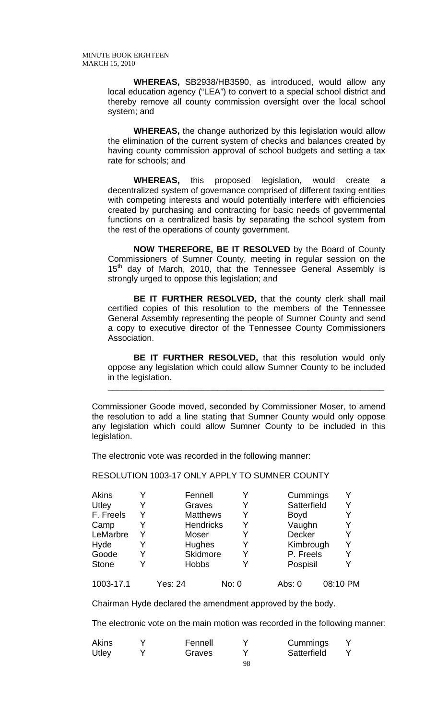**WHEREAS,** SB2938/HB3590, as introduced, would allow any local education agency ("LEA") to convert to a special school district and thereby remove all county commission oversight over the local school system; and

**WHEREAS,** the change authorized by this legislation would allow the elimination of the current system of checks and balances created by having county commission approval of school budgets and setting a tax rate for schools; and

**WHEREAS,** this proposed legislation, would create a decentralized system of governance comprised of different taxing entities with competing interests and would potentially interfere with efficiencies created by purchasing and contracting for basic needs of governmental functions on a centralized basis by separating the school system from the rest of the operations of county government.

**NOW THEREFORE, BE IT RESOLVED** by the Board of County Commissioners of Sumner County, meeting in regular session on the  $15<sup>th</sup>$  day of March, 2010, that the Tennessee General Assembly is strongly urged to oppose this legislation; and

**BE IT FURTHER RESOLVED,** that the county clerk shall mail certified copies of this resolution to the members of the Tennessee General Assembly representing the people of Sumner County and send a copy to executive director of the Tennessee County Commissioners Association.

**BE IT FURTHER RESOLVED,** that this resolution would only oppose any legislation which could allow Sumner County to be included in the legislation.

**\_\_\_\_\_\_\_\_\_\_\_\_\_\_\_\_\_\_\_\_\_\_\_\_\_\_\_\_\_\_\_\_\_\_\_\_\_\_\_\_\_\_\_\_\_\_\_\_\_\_\_\_\_\_\_\_\_\_**

Commissioner Goode moved, seconded by Commissioner Moser, to amend the resolution to add a line stating that Sumner County would only oppose any legislation which could allow Sumner County to be included in this legislation.

The electronic vote was recorded in the following manner:

RESOLUTION 1003-17 ONLY APPLY TO SUMNER COUNTY

| Akins        |   | Fennell      |                  |       | Cummings      |          |  |
|--------------|---|--------------|------------------|-------|---------------|----------|--|
| Utley        |   | Graves       |                  | Y     | Satterfield   |          |  |
| F. Freels    | Y |              | <b>Matthews</b>  | Y     | <b>Boyd</b>   |          |  |
| Camp         |   |              | <b>Hendricks</b> | Y     | Vaughn        |          |  |
| LeMarbre     | Y | Moser        |                  |       | <b>Decker</b> |          |  |
| Hyde         |   | Hughes       |                  | Y     | Kimbrough     | Y        |  |
| Goode        | Y |              | Skidmore         | Y     | P. Freels     |          |  |
| <b>Stone</b> |   | <b>Hobbs</b> |                  |       | Pospisil      |          |  |
| 1003-17.1    |   | Yes: 24      |                  | No: 0 | Abs: 0        | 08:10 PM |  |

Chairman Hyde declared the amendment approved by the body.

The electronic vote on the main motion was recorded in the following manner:

| Akins | Fennell |    | Cummings    |  |
|-------|---------|----|-------------|--|
| Utley | Graves  |    | Satterfield |  |
|       |         | 98 |             |  |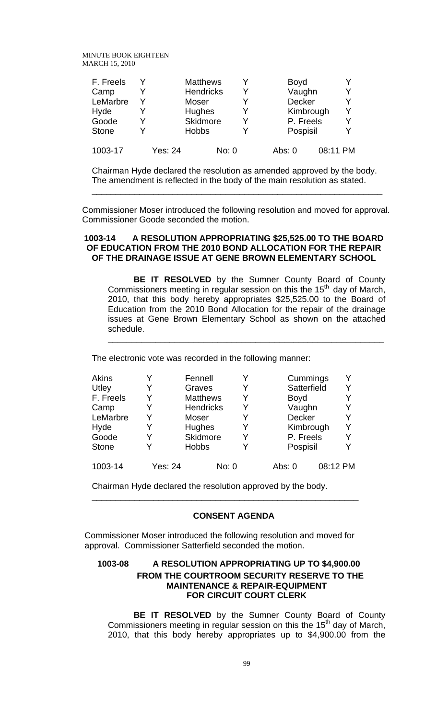| F. Freels    | Y |         | <b>Matthews</b>  |       |        | <b>Boyd</b>   |          |   |
|--------------|---|---------|------------------|-------|--------|---------------|----------|---|
| Camp         |   |         | <b>Hendricks</b> |       |        | Vaughn        |          | Y |
| LeMarbre     | V |         | Moser            |       |        | <b>Decker</b> |          | Y |
| Hyde         |   |         | <b>Hughes</b>    |       |        | Kimbrough     |          | Υ |
| Goode        |   |         | Skidmore         |       |        | P. Freels     |          | Υ |
| <b>Stone</b> | v |         | <b>Hobbs</b>     |       |        | Pospisil      |          | Y |
| 1003-17      |   | Yes: 24 |                  | No: 0 | Abs: 0 |               | 08:11 PM |   |

Chairman Hyde declared the resolution as amended approved by the body. The amendment is reflected in the body of the main resolution as stated.

Commissioner Moser introduced the following resolution and moved for approval. Commissioner Goode seconded the motion.

\_\_\_\_\_\_\_\_\_\_\_\_\_\_\_\_\_\_\_\_\_\_\_\_\_\_\_\_\_\_\_\_\_\_\_\_\_\_\_\_\_\_\_\_\_\_\_\_\_\_\_\_\_\_\_\_\_\_\_\_\_

### **1003-14 A RESOLUTION APPROPRIATING \$25,525.00 TO THE BOARD OF EDUCATION FROM THE 2010 BOND ALLOCATION FOR THE REPAIR OF THE DRAINAGE ISSUE AT GENE BROWN ELEMENTARY SCHOOL**

 **BE IT RESOLVED** by the Sumner County Board of County Commissioners meeting in regular session on this the  $15<sup>th</sup>$  day of March, 2010, that this body hereby appropriates \$25,525.00 to the Board of Education from the 2010 Bond Allocation for the repair of the drainage issues at Gene Brown Elementary School as shown on the attached schedule.

**\_\_\_\_\_\_\_\_\_\_\_\_\_\_\_\_\_\_\_\_\_\_\_\_\_\_\_\_\_\_\_\_\_\_\_\_\_\_\_\_\_\_\_\_\_\_\_\_\_\_\_\_\_\_\_\_\_\_**

The electronic vote was recorded in the following manner:

| Akins        |                | Fennell          |       | Cummings    | Y        |
|--------------|----------------|------------------|-------|-------------|----------|
| Utley        | Y              | Graves           |       | Satterfield | Y        |
| F. Freels    | Y              | <b>Matthews</b>  |       | <b>Boyd</b> | Y        |
| Camp         | Y              | <b>Hendricks</b> |       | Vaughn      | Y        |
| LeMarbre     | Y              | Moser            |       | Decker      | Y        |
| Hyde         | Y              | <b>Hughes</b>    |       | Kimbrough   | Y        |
| Goode        | Y              | Skidmore         |       | P. Freels   | Y        |
| <b>Stone</b> | Y              | <b>Hobbs</b>     |       | Pospisil    | Y        |
| 1003-14      | <b>Yes: 24</b> |                  | No: 0 | Abs: 0      | 08:12 PM |

Chairman Hyde declared the resolution approved by the body.

## **CONSENT AGENDA**

\_\_\_\_\_\_\_\_\_\_\_\_\_\_\_\_\_\_\_\_\_\_\_\_\_\_\_\_\_\_\_\_\_\_\_\_\_\_\_\_\_\_\_\_\_\_\_\_\_\_\_\_\_\_\_\_

 Commissioner Moser introduced the following resolution and moved for approval. Commissioner Satterfield seconded the motion.

## **1003-08 A RESOLUTION APPROPRIATING UP TO \$4,900.00 FROM THE COURTROOM SECURITY RESERVE TO THE MAINTENANCE & REPAIR-EQUIPMENT FOR CIRCUIT COURT CLERK**

 **BE IT RESOLVED** by the Sumner County Board of County Commissioners meeting in regular session on this the  $15<sup>th</sup>$  day of March, 2010, that this body hereby appropriates up to \$4,900.00 from the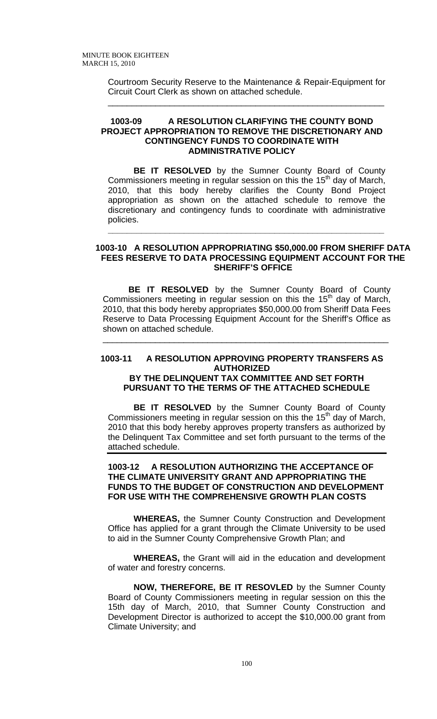Courtroom Security Reserve to the Maintenance & Repair-Equipment for Circuit Court Clerk as shown on attached schedule.

\_\_\_\_\_\_\_\_\_\_\_\_\_\_\_\_\_\_\_\_\_\_\_\_\_\_\_\_\_\_\_\_\_\_\_\_\_\_\_\_\_\_\_\_\_\_\_\_\_\_\_\_\_\_\_\_\_\_

### **1003-09 A RESOLUTION CLARIFYING THE COUNTY BOND PROJECT APPROPRIATION TO REMOVE THE DISCRETIONARY AND CONTINGENCY FUNDS TO COORDINATE WITH ADMINISTRATIVE POLICY**

**BE IT RESOLVED** by the Sumner County Board of County Commissioners meeting in regular session on this the  $15<sup>th</sup>$  day of March, 2010, that this body hereby clarifies the County Bond Project appropriation as shown on the attached schedule to remove the discretionary and contingency funds to coordinate with administrative policies.

**\_\_\_\_\_\_\_\_\_\_\_\_\_\_\_\_\_\_\_\_\_\_\_\_\_\_\_\_\_\_\_\_\_\_\_\_\_\_\_\_\_\_\_\_\_\_\_\_\_\_\_\_\_\_\_\_\_\_**

#### **1003-10 A RESOLUTION APPROPRIATING \$50,000.00 FROM SHERIFF DATA FEES RESERVE TO DATA PROCESSING EQUIPMENT ACCOUNT FOR THE SHERIFF'S OFFICE**

**BE IT RESOLVED** by the Sumner County Board of County Commissioners meeting in regular session on this the  $15<sup>th</sup>$  day of March, 2010, that this body hereby appropriates \$50,000.00 from Sheriff Data Fees Reserve to Data Processing Equipment Account for the Sheriff's Office as shown on attached schedule.

\_\_\_\_\_\_\_\_\_\_\_\_\_\_\_\_\_\_\_\_\_\_\_\_\_\_\_\_\_\_\_\_\_\_\_\_\_\_\_\_\_\_\_\_\_\_\_\_\_\_\_\_\_\_\_\_\_\_\_\_

### **1003-11 A RESOLUTION APPROVING PROPERTY TRANSFERS AS AUTHORIZED BY THE DELINQUENT TAX COMMITTEE AND SET FORTH PURSUANT TO THE TERMS OF THE ATTACHED SCHEDULE**

**BE IT RESOLVED** by the Sumner County Board of County Commissioners meeting in regular session on this the  $15<sup>th</sup>$  day of March, 2010 that this body hereby approves property transfers as authorized by the Delinquent Tax Committee and set forth pursuant to the terms of the attached schedule.

### **1003-12 A RESOLUTION AUTHORIZING THE ACCEPTANCE OF THE CLIMATE UNIVERSITY GRANT AND APPROPRIATING THE FUNDS TO THE BUDGET OF CONSTRUCTION AND DEVELOPMENT FOR USE WITH THE COMPREHENSIVE GROWTH PLAN COSTS**

 **WHEREAS,** the Sumner County Construction and Development Office has applied for a grant through the Climate University to be used to aid in the Sumner County Comprehensive Growth Plan; and

**WHEREAS,** the Grant will aid in the education and development of water and forestry concerns.

 **NOW, THEREFORE, BE IT RESOVLED** by the Sumner County Board of County Commissioners meeting in regular session on this the 15th day of March, 2010, that Sumner County Construction and Development Director is authorized to accept the \$10,000.00 grant from Climate University; and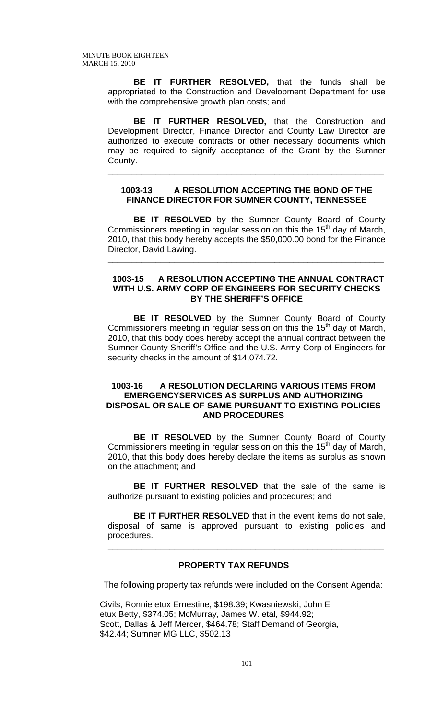**BE IT FURTHER RESOLVED,** that the funds shall be appropriated to the Construction and Development Department for use with the comprehensive growth plan costs; and

**BE IT FURTHER RESOLVED,** that the Construction and Development Director, Finance Director and County Law Director are authorized to execute contracts or other necessary documents which may be required to signify acceptance of the Grant by the Sumner County.

### **1003-13 A RESOLUTION ACCEPTING THE BOND OF THE FINANCE DIRECTOR FOR SUMNER COUNTY, TENNESSEE**

**\_\_\_\_\_\_\_\_\_\_\_\_\_\_\_\_\_\_\_\_\_\_\_\_\_\_\_\_\_\_\_\_\_\_\_\_\_\_\_\_\_\_\_\_\_\_\_\_\_\_\_\_\_\_\_\_\_\_**

**BE IT RESOLVED** by the Sumner County Board of County Commissioners meeting in regular session on this the  $15<sup>th</sup>$  day of March, 2010, that this body hereby accepts the \$50,000.00 bond for the Finance Director, David Lawing.

**\_\_\_\_\_\_\_\_\_\_\_\_\_\_\_\_\_\_\_\_\_\_\_\_\_\_\_\_\_\_\_\_\_\_\_\_\_\_\_\_\_\_\_\_\_\_\_\_\_\_\_\_\_\_\_\_\_\_**

### **1003-15 A RESOLUTION ACCEPTING THE ANNUAL CONTRACT WITH U.S. ARMY CORP OF ENGINEERS FOR SECURITY CHECKS BY THE SHERIFF'S OFFICE**

 **BE IT RESOLVED** by the Sumner County Board of County Commissioners meeting in regular session on this the  $15<sup>th</sup>$  day of March, 2010, that this body does hereby accept the annual contract between the Sumner County Sheriff's Office and the U.S. Army Corp of Engineers for security checks in the amount of \$14,074.72.

### **1003-16 A RESOLUTION DECLARING VARIOUS ITEMS FROM EMERGENCYSERVICES AS SURPLUS AND AUTHORIZING DISPOSAL OR SALE OF SAME PURSUANT TO EXISTING POLICIES AND PROCEDURES**

**\_\_\_\_\_\_\_\_\_\_\_\_\_\_\_\_\_\_\_\_\_\_\_\_\_\_\_\_\_\_\_\_\_\_\_\_\_\_\_\_\_\_\_\_\_\_\_\_\_\_\_\_\_\_\_\_\_\_**

**BE IT RESOLVED** by the Sumner County Board of County Commissioners meeting in regular session on this the  $15<sup>th</sup>$  day of March, 2010, that this body does hereby declare the items as surplus as shown on the attachment; and

**BE IT FURTHER RESOLVED** that the sale of the same is authorize pursuant to existing policies and procedures; and

**BE IT FURTHER RESOLVED** that in the event items do not sale, disposal of same is approved pursuant to existing policies and procedures.

**\_\_\_\_\_\_\_\_\_\_\_\_\_\_\_\_\_\_\_\_\_\_\_\_\_\_\_\_\_\_\_\_\_\_\_\_\_\_\_\_\_\_\_\_\_\_\_\_\_\_\_\_\_\_\_\_\_\_**

# **PROPERTY TAX REFUNDS**

The following property tax refunds were included on the Consent Agenda:

Civils, Ronnie etux Ernestine, \$198.39; Kwasniewski, John E etux Betty, \$374.05; McMurray, James W. etal, \$944.92; Scott, Dallas & Jeff Mercer, \$464.78; Staff Demand of Georgia, \$42.44; Sumner MG LLC, \$502.13